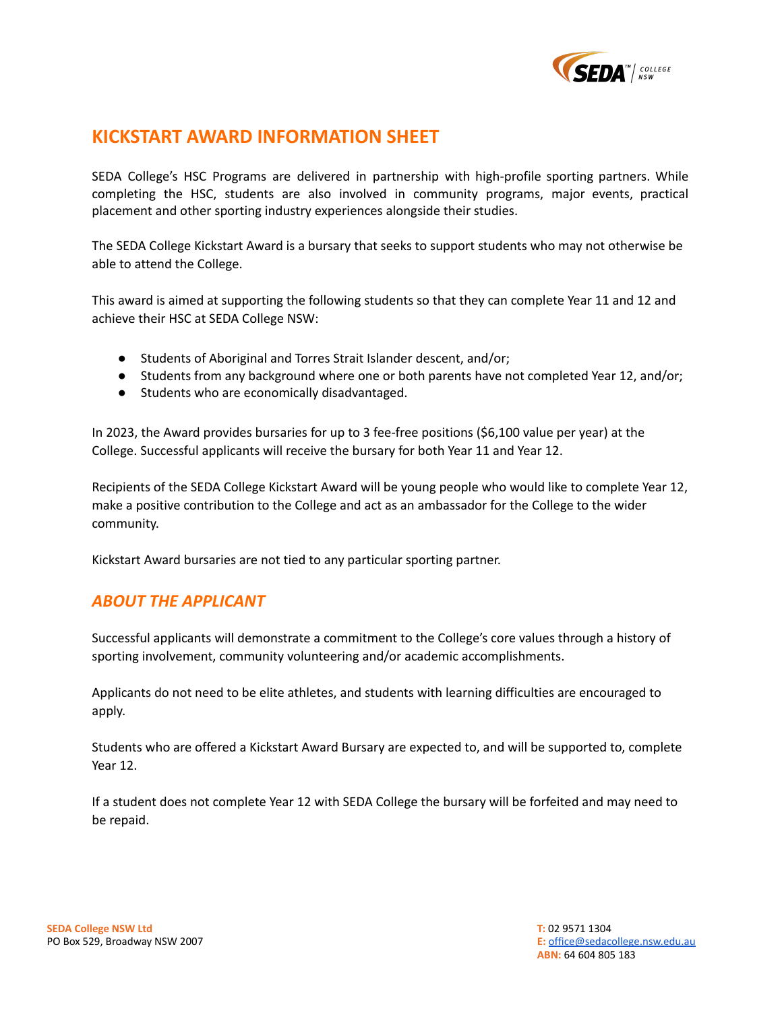

# **KICKSTART AWARD INFORMATION SHEET**

SEDA College's HSC Programs are delivered in partnership with high-profile sporting partners. While completing the HSC, students are also involved in community programs, major events, practical placement and other sporting industry experiences alongside their studies.

The SEDA College Kickstart Award is a bursary that seeks to support students who may not otherwise be able to attend the College.

This award is aimed at supporting the following students so that they can complete Year 11 and 12 and achieve their HSC at SEDA College NSW:

- Students of Aboriginal and Torres Strait Islander descent, and/or;
- Students from any background where one or both parents have not completed Year 12, and/or;
- Students who are economically disadvantaged.

In 2023, the Award provides bursaries for up to 3 fee-free positions (\$6,100 value per year) at the College. Successful applicants will receive the bursary for both Year 11 and Year 12.

Recipients of the SEDA College Kickstart Award will be young people who would like to complete Year 12, make a positive contribution to the College and act as an ambassador for the College to the wider community.

Kickstart Award bursaries are not tied to any particular sporting partner.

## *ABOUT THE APPLICANT*

Successful applicants will demonstrate a commitment to the College's core values through a history of sporting involvement, community volunteering and/or academic accomplishments.

Applicants do not need to be elite athletes, and students with learning difficulties are encouraged to apply.

Students who are offered a Kickstart Award Bursary are expected to, and will be supported to, complete Year 12.

If a student does not complete Year 12 with SEDA College the bursary will be forfeited and may need to be repaid.